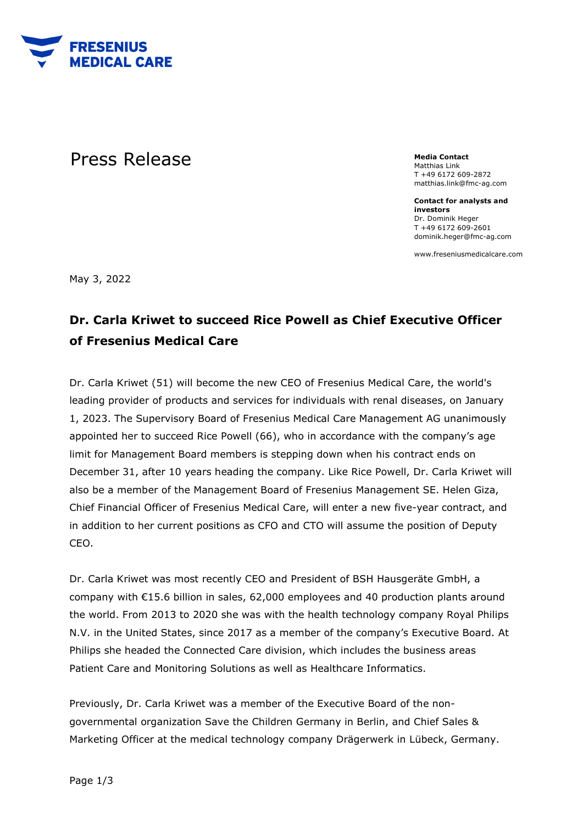

## **Press Release** Media Contact **Media Contact**

Matthias Link T +49 6172 609-2872 matthias.link@fmc-ag.com

**Contact for analysts and investors**  Dr. Dominik Heger T +49 6172 609-2601 dominik.heger@fmc-ag.com

www.freseniusmedicalcare.com

May 3, 2022

## **Dr. Carla Kriwet to succeed Rice Powell as Chief Executive Officer of Fresenius Medical Care**

Dr. Carla Kriwet (51) will become the new CEO of Fresenius Medical Care, the world's leading provider of products and services for individuals with renal diseases, on January 1, 2023. The Supervisory Board of Fresenius Medical Care Management AG unanimously appointed her to succeed Rice Powell (66), who in accordance with the company's age limit for Management Board members is stepping down when his contract ends on December 31, after 10 years heading the company. Like Rice Powell, Dr. Carla Kriwet will also be a member of the Management Board of Fresenius Management SE. Helen Giza, Chief Financial Officer of Fresenius Medical Care, will enter a new five-year contract, and in addition to her current positions as CFO and CTO will assume the position of Deputy CEO.

Dr. Carla Kriwet was most recently CEO and President of BSH Hausgeräte GmbH, a company with €15.6 billion in sales, 62,000 employees and 40 production plants around the world. From 2013 to 2020 she was with the health technology company Royal Philips N.V. in the United States, since 2017 as a member of the company's Executive Board. At Philips she headed the Connected Care division, which includes the business areas Patient Care and Monitoring Solutions as well as Healthcare Informatics.

Previously, Dr. Carla Kriwet was a member of the Executive Board of the nongovernmental organization Save the Children Germany in Berlin, and Chief Sales & Marketing Officer at the medical technology company Drägerwerk in Lübeck, Germany.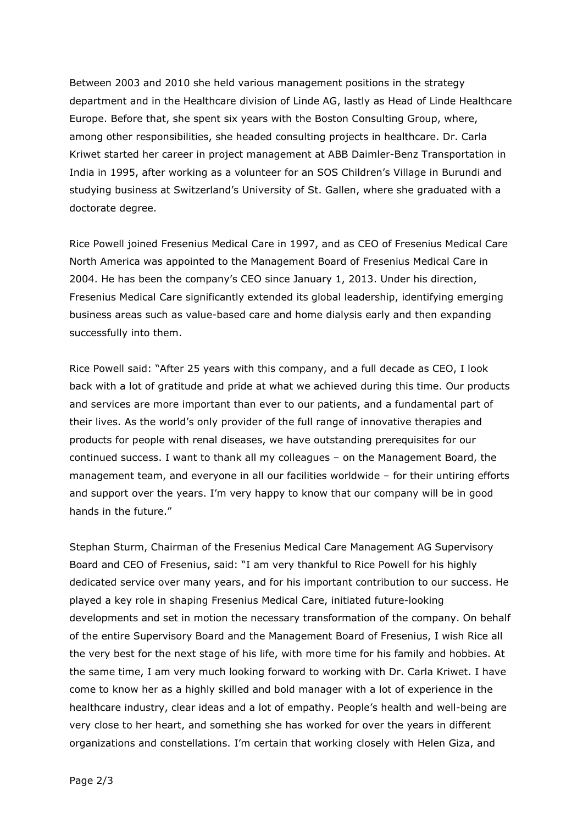Between 2003 and 2010 she held various management positions in the strategy department and in the Healthcare division of Linde AG, lastly as Head of Linde Healthcare Europe. Before that, she spent six years with the Boston Consulting Group, where, among other responsibilities, she headed consulting projects in healthcare. Dr. Carla Kriwet started her career in project management at ABB Daimler-Benz Transportation in India in 1995, after working as a volunteer for an SOS Children's Village in Burundi and studying business at Switzerland's University of St. Gallen, where she graduated with a doctorate degree.

Rice Powell joined Fresenius Medical Care in 1997, and as CEO of Fresenius Medical Care North America was appointed to the Management Board of Fresenius Medical Care in 2004. He has been the company's CEO since January 1, 2013. Under his direction, Fresenius Medical Care significantly extended its global leadership, identifying emerging business areas such as value-based care and home dialysis early and then expanding successfully into them.

Rice Powell said: "After 25 years with this company, and a full decade as CEO, I look back with a lot of gratitude and pride at what we achieved during this time. Our products and services are more important than ever to our patients, and a fundamental part of their lives. As the world's only provider of the full range of innovative therapies and products for people with renal diseases, we have outstanding prerequisites for our continued success. I want to thank all my colleagues – on the Management Board, the management team, and everyone in all our facilities worldwide – for their untiring efforts and support over the years. I'm very happy to know that our company will be in good hands in the future."

Stephan Sturm, Chairman of the Fresenius Medical Care Management AG Supervisory Board and CEO of Fresenius, said: "I am very thankful to Rice Powell for his highly dedicated service over many years, and for his important contribution to our success. He played a key role in shaping Fresenius Medical Care, initiated future-looking developments and set in motion the necessary transformation of the company. On behalf of the entire Supervisory Board and the Management Board of Fresenius, I wish Rice all the very best for the next stage of his life, with more time for his family and hobbies. At the same time, I am very much looking forward to working with Dr. Carla Kriwet. I have come to know her as a highly skilled and bold manager with a lot of experience in the healthcare industry, clear ideas and a lot of empathy. People's health and well-being are very close to her heart, and something she has worked for over the years in different organizations and constellations. I'm certain that working closely with Helen Giza, and